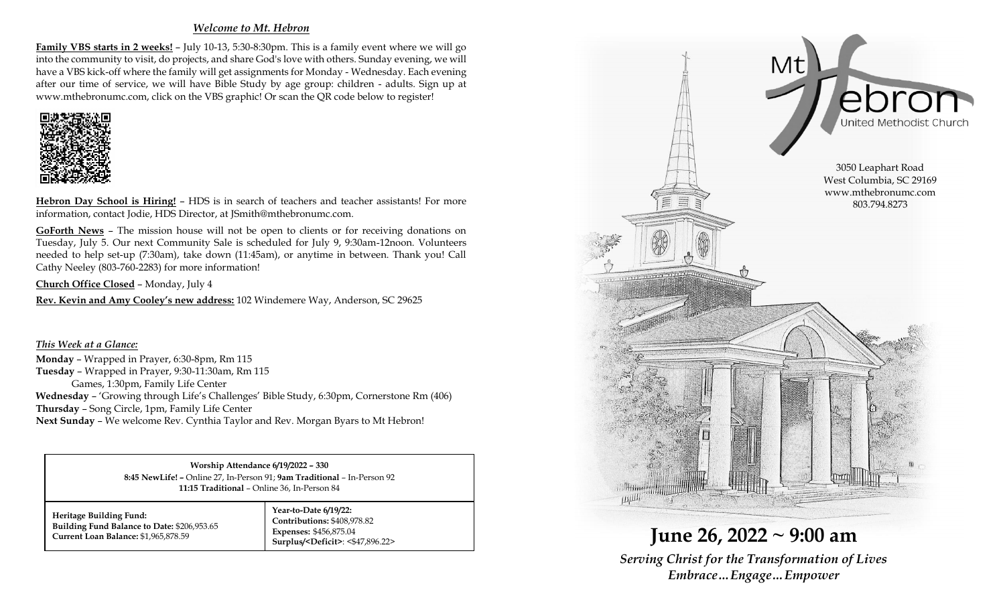## *Welcome to Mt. Hebron*

**Family VBS starts in 2 weeks!** – July 10-13, 5:30-8:30pm. This is a family event where we will go into the community to visit, do projects, and share God's love with others. Sunday evening, we will have a VBS kick-off where the family will get assignments for Monday - Wednesday. Each evening after our time of service, we will have Bible Study by age group: children - adults. Sign up at www.mthebronumc.com, click on the VBS graphic! Or scan the QR code below to register!



**Hebron Day School is Hiring!** – HDS is in search of teachers and teacher assistants! For more information, contact Jodie, HDS Director, at JSmith@mthebronumc.com.

**GoForth News** – The mission house will not be open to clients or for receiving donations on Tuesday, July 5. Our next Community Sale is scheduled for July 9, 9:30am-12noon. Volunteers needed to help set-up (7:30am), take down (11:45am), or anytime in between. Thank you! Call Cathy Neeley (803-760-2283) for more information!

**Church Office Closed** – Monday, July 4

**Rev. Kevin and Amy Cooley's new address:** 102 Windemere Way, Anderson, SC 29625

*This Week at a Glance:* **Monday** – Wrapped in Prayer, 6:30-8pm, Rm 115 **Tuesday** – Wrapped in Prayer, 9:30-11:30am, Rm 115 Games, 1:30pm, Family Life Center **Wednesday** – 'Growing through Life's Challenges' Bible Study, 6:30pm, Cornerstone Rm (406) **Thursday** – Song Circle, 1pm, Family Life Center **Next Sunday** – We welcome Rev. Cynthia Taylor and Rev. Morgan Byars to Mt Hebron!

> **Worship Attendance 6/19/2022 – 330 8:45 NewLife! –** Online 27, In-Person 91; **9am Traditional** – In-Person 92 **11:15 Traditional** – Online 36, In-Person 84

**Heritage Building Fund: Building Fund Balance to Date:** \$206,953.65 **Current Loan Balance:** \$1,965,878.59

**Year-to-Date 6/19/22: Contributions:** \$408,978.82 **Expenses:** \$456,875.04 **Surplus/<Deficit>**: <\$47,896.22>



**June 26, 2022 ~ 9:00 am** *Serving Christ for the Transformation of Lives Embrace…Engage…Empower*